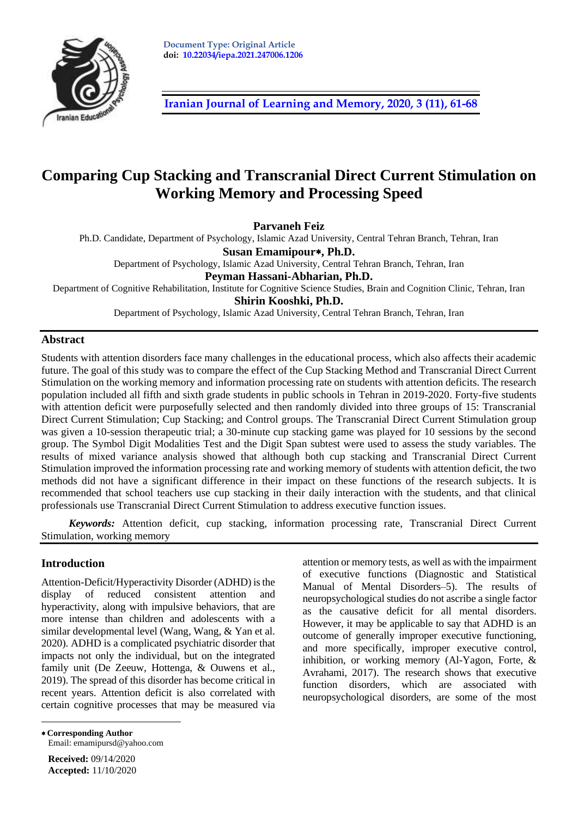

**[Iranian Journal of Learning and Memory, 2020, 3](http://journal.iepa.ir/article_91052.html) (11), 61-68**

# **Comparing Cup Stacking and Transcranial Direct Current Stimulation on Working Memory and Processing Speed**

**Parvaneh Feiz**

Ph.D. Candidate, Department of Psychology, Islamic Azad University, Central Tehran Branch, Tehran, Iran

**Susan Emamipour, Ph.D.**

Department of Psychology, Islamic Azad University, Central Tehran Branch, Tehran, Iran **Peyman Hassani-Abharian, Ph.D.**

Department of Cognitive Rehabilitation, Institute for Cognitive Science Studies, Brain and Cognition Clinic, Tehran, Iran **Shirin Kooshki, Ph.D.**

Department of Psychology, Islamic Azad University, Central Tehran Branch, Tehran, Iran

# **Abstract**

Students with attention disorders face many challenges in the educational process, which also affects their academic future. The goal of this study was to compare the effect of the Cup Stacking Method and Transcranial Direct Current Stimulation on the working memory and information processing rate on students with attention deficits. The research population included all fifth and sixth grade students in public schools in Tehran in 2019-2020. Forty-five students with attention deficit were purposefully selected and then randomly divided into three groups of 15: Transcranial Direct Current Stimulation; Cup Stacking; and Control groups. The Transcranial Direct Current Stimulation group was given a 10-session therapeutic trial; a 30-minute cup stacking game was played for 10 sessions by the second group. The Symbol Digit Modalities Test and the Digit Span subtest were used to assess the study variables. The results of mixed variance analysis showed that although both cup stacking and Transcranial Direct Current Stimulation improved the information processing rate and working memory of students with attention deficit, the two methods did not have a significant difference in their impact on these functions of the research subjects. It is recommended that school teachers use cup stacking in their daily interaction with the students, and that clinical professionals use Transcranial Direct Current Stimulation to address executive function issues.

*Keywords:* Attention deficit*,* cup stacking, information processing rate, Transcranial Direct Current Stimulation, working memory

# **Introduction**

Attention-Deficit/Hyperactivity Disorder (ADHD) is the display of reduced consistent attention and hyperactivity, along with impulsive behaviors, that are more intense than children and adolescents with a similar developmental level (Wang, Wang, & Yan et al. 2020). ADHD is a complicated psychiatric disorder that impacts not only the individual, but on the integrated family unit (De Zeeuw, Hottenga, & Ouwens et al., 2019). The spread of this disorder has become critical in recent years. Attention deficit is also correlated with certain cognitive processes that may be measured via attention or memory tests, as well as with the impairment of executive functions (Diagnostic and Statistical Manual of Mental Disorders–5). The results of neuropsychological studies do not ascribe a single factor as the causative deficit for all mental disorders. However, it may be applicable to say that ADHD is an outcome of generally improper executive functioning, and more specifically, improper executive control, inhibition, or working memory (Al-Yagon, Forte, & Avrahami, 2017). The research shows that executive function disorders, which are associated with neuropsychological disorders, are some of the most

 **Corresponding Author**  Email: emamipursd@yahoo.com

**Received:** 09/14/2020 **Accepted:** 11/10/2020

 $\overline{a}$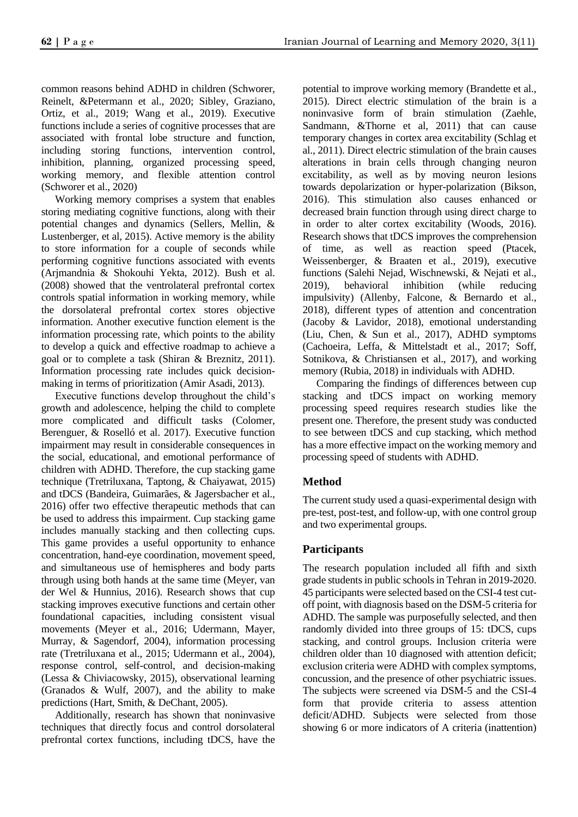common reasons behind ADHD in children (Schworer, Reinelt, &Petermann et al., 2020; Sibley, Graziano, Ortiz, et al., 2019; Wang et al., 2019). Executive functions include a series of cognitive processes that are associated with frontal lobe structure and function, including storing functions, intervention control, inhibition, planning, organized processing speed, working memory, and flexible attention control (Schworer et al., 2020)

Working memory comprises a system that enables storing mediating cognitive functions, along with their potential changes and dynamics (Sellers, Mellin, & Lustenberger, et al, 2015). Active memory is the ability to store information for a couple of seconds while performing cognitive functions associated with events (Arjmandnia & Shokouhi Yekta, 2012). Bush et al. (2008) showed that the ventrolateral prefrontal cortex controls spatial information in working memory, while the dorsolateral prefrontal cortex stores objective information. Another executive function element is the information processing rate, which points to the ability to develop a quick and effective roadmap to achieve a goal or to complete a task (Shiran & Breznitz, 2011). Information processing rate includes quick decisionmaking in terms of prioritization (Amir Asadi, 2013).

Executive functions develop throughout the child's growth and adolescence, helping the child to complete more complicated and difficult tasks (Colomer, Berenguer, & Roselló et al. 2017). Executive function impairment may result in considerable consequences in the social, educational, and emotional performance of children with ADHD. Therefore, the cup stacking game technique (Tretriluxana, Taptong, & Chaiyawat, 2015) and tDCS (Bandeira, Guimarães, & Jagersbacher et al., 2016) offer two effective therapeutic methods that can be used to address this impairment. Cup stacking game includes manually stacking and then collecting cups. This game provides a useful opportunity to enhance concentration, hand-eye coordination, movement speed, and simultaneous use of hemispheres and body parts through using both hands at the same time (Meyer, van der Wel & Hunnius, 2016). Research shows that cup stacking improves executive functions and certain other foundational capacities, including consistent visual movements (Meyer et al., 2016; Udermann, Mayer, Murray, & Sagendorf, 2004), information processing rate (Tretriluxana et al., 2015; Udermann et al., 2004), response control, self-control, and decision-making (Lessa & Chiviacowsky, 2015), observational learning (Granados & Wulf, 2007), and the ability to make predictions (Hart, Smith, & DeChant, 2005).

Additionally, research has shown that noninvasive techniques that directly focus and control dorsolateral prefrontal cortex functions, including tDCS, have the

potential to improve working memory (Brandette et al., 2015). Direct electric stimulation of the brain is a noninvasive form of brain stimulation (Zaehle, Sandmann, &Thorne et al, 2011) that can cause temporary changes in cortex area excitability (Schlag et al., 2011). Direct electric stimulation of the brain causes alterations in brain cells through changing neuron excitability, as well as by moving neuron lesions towards depolarization or hyper-polarization (Bikson, 2016). This stimulation also causes enhanced or decreased brain function through using direct charge to in order to alter cortex excitability (Woods, 2016). Research shows that tDCS improves the comprehension of time, as well as reaction speed (Ptacek, Weissenberger, & Braaten et al., 2019), executive functions (Salehi Nejad, Wischnewski, & Nejati et al., 2019), behavioral inhibition (while reducing impulsivity) (Allenby, Falcone, & Bernardo et al., 2018), different types of attention and concentration (Jacoby & Lavidor, 2018), emotional understanding (Liu, Chen, & Sun et al., 2017), ADHD symptoms (Cachoeira, Leffa, & Mittelstadt et al., 2017; Soff, Sotnikova, & Christiansen et al., 2017), and working memory (Rubia, 2018) in individuals with ADHD.

Comparing the findings of differences between cup stacking and tDCS impact on working memory processing speed requires research studies like the present one. Therefore, the present study was conducted to see between tDCS and cup stacking, which method has a more effective impact on the working memory and processing speed of students with ADHD.

# **Method**

The current study used a quasi-experimental design with pre-test, post-test, and follow-up, with one control group and two experimental groups.

# **Participants**

The research population included all fifth and sixth grade students in public schools in Tehran in 2019-2020. 45 participants were selected based on the CSI-4 test cutoff point, with diagnosis based on the DSM-5 criteria for ADHD. The sample was purposefully selected, and then randomly divided into three groups of 15: tDCS, cups stacking, and control groups. Inclusion criteria were children older than 10 diagnosed with attention deficit; exclusion criteria were ADHD with complex symptoms, concussion, and the presence of other psychiatric issues. The subjects were screened via DSM-5 and the CSI-4 form that provide criteria to assess attention deficit/ADHD. Subjects were selected from those showing 6 or more indicators of A criteria (inattention)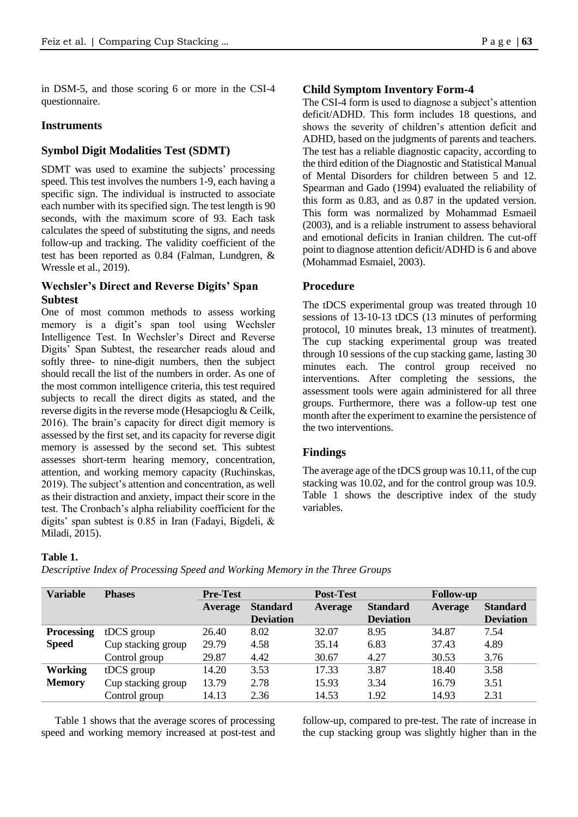in DSM-5, and those scoring 6 or more in the CSI-4 questionnaire.

## **Instruments**

# **Symbol Digit Modalities Test (SDMT)**

SDMT was used to examine the subjects' processing speed. This test involves the numbers 1-9, each having a specific sign. The individual is instructed to associate each number with its specified sign. The test length is 90 seconds, with the maximum score of 93. Each task calculates the speed of substituting the signs, and needs follow-up and tracking. The validity coefficient of the test has been reported as 0.84 (Falman, Lundgren, & Wressle et al., 2019).

# **Wechsler's Direct and Reverse Digits' Span Subtest**

One of most common methods to assess working memory is a digit's span tool using Wechsler Intelligence Test. In Wechsler's Direct and Reverse Digits' Span Subtest, the researcher reads aloud and softly three- to nine-digit numbers, then the subject should recall the list of the numbers in order. As one of the most common intelligence criteria, this test required subjects to recall the direct digits as stated, and the reverse digits in the reverse mode (Hesapcioglu & Ceilk, 2016). The brain's capacity for direct digit memory is assessed by the first set, and its capacity for reverse digit memory is assessed by the second set. This subtest assesses short-term hearing memory, concentration, attention, and working memory capacity (Ruchinskas, 2019). The subject's attention and concentration, as well as their distraction and anxiety, impact their score in the test. The Cronbach's alpha reliability coefficient for the digits' span subtest is 0.85 in Iran (Fadayi, Bigdeli, & Miladi, 2015).

### **Child Symptom Inventory Form-4**

The CSI-4 form is used to diagnose a subject's attention deficit/ADHD. This form includes 18 questions, and shows the severity of children's attention deficit and ADHD, based on the judgments of parents and teachers. The test has a reliable diagnostic capacity, according to the third edition of the Diagnostic and Statistical Manual of Mental Disorders for children between 5 and 12. Spearman and Gado (1994) evaluated the reliability of this form as 0.83, and as 0.87 in the updated version. This form was normalized by Mohammad Esmaeil (2003), and is a reliable instrument to assess behavioral and emotional deficits in Iranian children. The cut-off point to diagnose attention deficit/ADHD is 6 and above (Mohammad Esmaiel, 2003).

# **Procedure**

The tDCS experimental group was treated through 10 sessions of 13-10-13 tDCS (13 minutes of performing protocol, 10 minutes break, 13 minutes of treatment). The cup stacking experimental group was treated through 10 sessions of the cup stacking game, lasting 30 minutes each. The control group received no interventions. After completing the sessions, the assessment tools were again administered for all three groups. Furthermore, there was a follow-up test one month after the experiment to examine the persistence of the two interventions.

# **Findings**

The average age of the tDCS group was 10.11, of the cup stacking was 10.02, and for the control group was 10.9. Table 1 shows the descriptive index of the study variables.

#### **Table 1.**

*Descriptive Index of Processing Speed and Working Memory in the Three Groups*

| <b>Variable</b>   | <b>Phases</b>      | <b>Pre-Test</b> |                  | <b>Post-Test</b> |                  | <b>Follow-up</b> |                  |
|-------------------|--------------------|-----------------|------------------|------------------|------------------|------------------|------------------|
|                   |                    | Average         | <b>Standard</b>  | <b>Average</b>   | <b>Standard</b>  | Average          | <b>Standard</b>  |
|                   |                    |                 | <b>Deviation</b> |                  | <b>Deviation</b> |                  | <b>Deviation</b> |
| <b>Processing</b> | tDCS group         | 26.40           | 8.02             | 32.07            | 8.95             | 34.87            | 7.54             |
| <b>Speed</b>      | Cup stacking group | 29.79           | 4.58             | 35.14            | 6.83             | 37.43            | 4.89             |
|                   | Control group      | 29.87           | 4.42             | 30.67            | 4.27             | 30.53            | 3.76             |
| <b>Working</b>    | tDCS group         | 14.20           | 3.53             | 17.33            | 3.87             | 18.40            | 3.58             |
| <b>Memory</b>     | Cup stacking group | 13.79           | 2.78             | 15.93            | 3.34             | 16.79            | 3.51             |
|                   | Control group      | 14.13           | 2.36             | 14.53            | 1.92             | 14.93            | 2.31             |

Table 1 shows that the average scores of processing speed and working memory increased at post-test and follow-up, compared to pre-test. The rate of increase in the cup stacking group was slightly higher than in the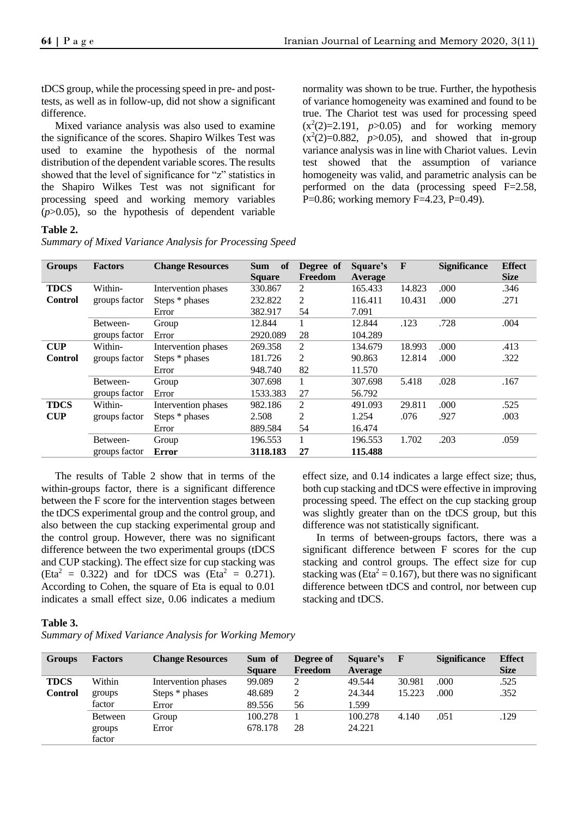tDCS group, while the processing speed in pre- and posttests, as well as in follow-up, did not show a significant difference.

Mixed variance analysis was also used to examine the significance of the scores. Shapiro Wilkes Test was used to examine the hypothesis of the normal distribution of the dependent variable scores. The results showed that the level of significance for "z" statistics in the Shapiro Wilkes Test was not significant for processing speed and working memory variables  $(p>0.05)$ , so the hypothesis of dependent variable normality was shown to be true. Further, the hypothesis of variance homogeneity was examined and found to be true. The Chariot test was used for processing speed  $(x^2(2)=2.191, p>0.05)$  and for working memory  $(x^2(2)=0.882, p>0.05)$ , and showed that in-group variance analysis was in line with Chariot values. Levin test showed that the assumption of variance homogeneity was valid, and parametric analysis can be performed on the data (processing speed F=2.58, P=0.86; working memory F=4.23, P=0.49).

### **Table 2.**

| <b>Groups</b>  | <b>Factors</b> | <b>Change Resources</b> | <b>Sum</b><br>of | Degree of      | Square's       | $\mathbf{F}$ | <b>Significance</b> | <b>Effect</b> |
|----------------|----------------|-------------------------|------------------|----------------|----------------|--------------|---------------------|---------------|
|                |                |                         | <b>Square</b>    | Freedom        | <b>Average</b> |              |                     | <b>Size</b>   |
| <b>TDCS</b>    | Within-        | Intervention phases     | 330.867          | 2              | 165.433        | 14.823       | .000                | .346          |
| <b>Control</b> | groups factor  | Steps * phases          | 232.822          | 2              | 116.411        | 10.431       | .000                | .271          |
|                |                | Error                   | 382.917          | 54             | 7.091          |              |                     |               |
|                | Between-       | Group                   | 12.844           | 1              | 12.844         | .123         | .728                | .004          |
|                | groups factor  | Error                   | 2920.089         | 28             | 104.289        |              |                     |               |
| <b>CUP</b>     | Within-        | Intervention phases     | 269.358          | 2              | 134.679        | 18.993       | .000                | .413          |
| <b>Control</b> | groups factor  | Steps * phases          | 181.726          | 2              | 90.863         | 12.814       | .000                | .322          |
|                |                | Error                   | 948.740          | 82             | 11.570         |              |                     |               |
|                | Between-       | Group                   | 307.698          | 1              | 307.698        | 5.418        | .028                | .167          |
|                | groups factor  | Error                   | 1533.383         | 27             | 56.792         |              |                     |               |
| <b>TDCS</b>    | Within-        | Intervention phases     | 982.186          | 2              | 491.093        | 29.811       | .000                | .525          |
| <b>CUP</b>     | groups factor  | Steps * phases          | 2.508            | $\overline{2}$ | 1.254          | .076         | .927                | .003          |
|                |                | Error                   | 889.584          | 54             | 16.474         |              |                     |               |
|                | Between-       | Group                   | 196.553          | 1              | 196.553        | 1.702        | .203                | .059          |
|                | groups factor  | <b>Error</b>            | 3118.183         | 27             | 115.488        |              |                     |               |

*Summary of Mixed Variance Analysis for Processing Speed*

The results of Table 2 show that in terms of the within-groups factor, there is a significant difference between the F score for the intervention stages between the tDCS experimental group and the control group, and also between the cup stacking experimental group and the control group. However, there was no significant difference between the two experimental groups (tDCS and CUP stacking). The effect size for cup stacking was  $(Eta<sup>2</sup> = 0.322)$  and for tDCS was  $(Eta<sup>2</sup> = 0.271)$ . According to Cohen, the square of Eta is equal to 0.01 indicates a small effect size, 0.06 indicates a medium

effect size, and 0.14 indicates a large effect size; thus, both cup stacking and tDCS were effective in improving processing speed. The effect on the cup stacking group was slightly greater than on the tDCS group, but this difference was not statistically significant.

In terms of between-groups factors, there was a significant difference between F scores for the cup stacking and control groups. The effect size for cup stacking was (Eta<sup>2</sup> = 0.167), but there was no significant difference between tDCS and control, nor between cup stacking and tDCS.

#### **Table 3.**

*Summary of Mixed Variance Analysis for Working Memory*

| <b>Groups</b>  | <b>Factors</b> | <b>Change Resources</b> | Sum of<br><b>Square</b> | Degree of<br>Freedom | Square's<br>Average | <b>F</b> | <b>Significance</b> | <b>Effect</b><br><b>Size</b> |
|----------------|----------------|-------------------------|-------------------------|----------------------|---------------------|----------|---------------------|------------------------------|
| <b>TDCS</b>    | Within         | Intervention phases     | 99.089                  | 2                    | 49.544              | 30.981   | .000                | .525                         |
| <b>Control</b> | groups         | Steps * phases          | 48.689                  | 2                    | 24.344              | 15.223   | .000                | .352                         |
|                | factor         | Error                   | 89.556                  | 56                   | 1.599               |          |                     |                              |
|                | <b>Between</b> | Group                   | 100.278                 |                      | 100.278             | 4.140    | .051                | .129                         |
|                | groups         | Error                   | 678.178                 | 28                   | 24.221              |          |                     |                              |
|                | factor         |                         |                         |                      |                     |          |                     |                              |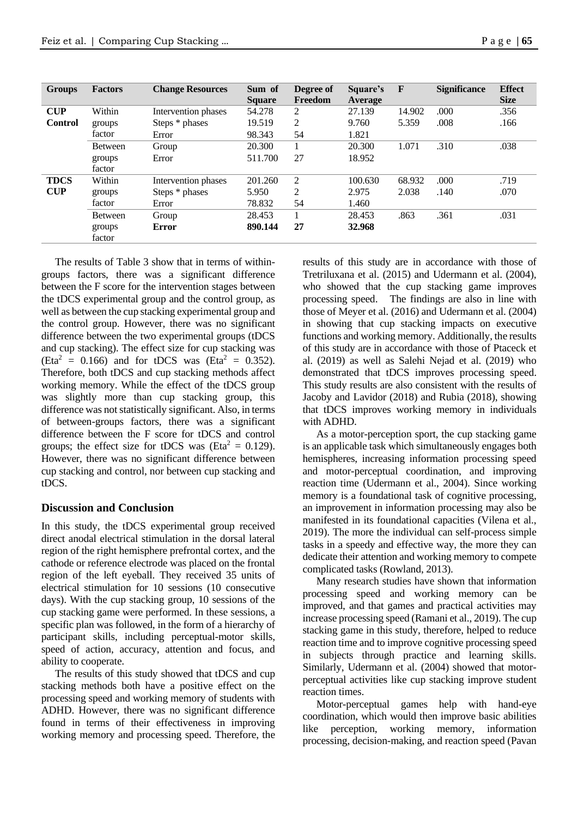| <b>Groups</b>  | <b>Factors</b>   | <b>Change Resources</b> | Sum of<br><b>Square</b> | Degree of<br>Freedom | Square's<br><b>Average</b> | $\mathbf{F}$ | <b>Significance</b> | <b>Effect</b><br><b>Size</b> |
|----------------|------------------|-------------------------|-------------------------|----------------------|----------------------------|--------------|---------------------|------------------------------|
| CUP            | Within           | Intervention phases     | 54.278                  | 2                    | 27.139                     | 14.902       | .000                | .356                         |
| <b>Control</b> | groups           | Steps * phases          | 19.519                  | 2                    | 9.760                      | 5.359        | .008                | .166                         |
|                | factor           | Error                   | 98.343                  | 54                   | 1.821                      |              |                     |                              |
|                | <b>Between</b>   | Group                   | 20.300                  |                      | 20.300                     | 1.071        | .310                | .038                         |
|                | groups           | Error                   | 511.700                 | 27                   | 18.952                     |              |                     |                              |
|                | factor           |                         |                         |                      |                            |              |                     |                              |
| <b>TDCS</b>    | Within           | Intervention phases     | 201.260                 | 2                    | 100.630                    | 68.932       | .000                | .719                         |
| <b>CUP</b>     | groups           | Steps * phases          | 5.950                   | 2                    | 2.975                      | 2.038        | .140                | .070                         |
|                | factor           | Error                   | 78.832                  | 54                   | 1.460                      |              |                     |                              |
|                | <b>Between</b>   | Group                   | 28.453                  |                      | 28.453                     | .863         | .361                | .031                         |
|                | groups<br>factor | <b>Error</b>            | 890.144                 | 27                   | 32.968                     |              |                     |                              |

The results of Table 3 show that in terms of withingroups factors, there was a significant difference between the F score for the intervention stages between the tDCS experimental group and the control group, as well as between the cup stacking experimental group and the control group. However, there was no significant difference between the two experimental groups (tDCS and cup stacking). The effect size for cup stacking was  $(Eta<sup>2</sup> = 0.166)$  and for tDCS was  $(Eta<sup>2</sup> = 0.352)$ . Therefore, both tDCS and cup stacking methods affect working memory. While the effect of the tDCS group was slightly more than cup stacking group, this difference was not statistically significant. Also, in terms of between-groups factors, there was a significant difference between the F score for tDCS and control groups; the effect size for tDCS was (Eta<sup>2</sup> = 0.129). However, there was no significant difference between cup stacking and control, nor between cup stacking and tDCS.

#### **Discussion and Conclusion**

In this study, the tDCS experimental group received direct anodal electrical stimulation in the dorsal lateral region of the right hemisphere prefrontal cortex, and the cathode or reference electrode was placed on the frontal region of the left eyeball. They received 35 units of electrical stimulation for 10 sessions (10 consecutive days). With the cup stacking group, 10 sessions of the cup stacking game were performed. In these sessions, a specific plan was followed, in the form of a hierarchy of participant skills, including perceptual-motor skills, speed of action, accuracy, attention and focus, and ability to cooperate.

The results of this study showed that tDCS and cup stacking methods both have a positive effect on the processing speed and working memory of students with ADHD. However, there was no significant difference found in terms of their effectiveness in improving working memory and processing speed. Therefore, the results of this study are in accordance with those of Tretriluxana et al. (2015) and Udermann et al. (2004), who showed that the cup stacking game improves processing speed. The findings are also in line with those of Meyer et al. (2016) and Udermann et al. (2004) in showing that cup stacking impacts on executive functions and working memory. Additionally, the results of this study are in accordance with those of Ptaceck et al. (2019) as well as Salehi Nejad et al. (2019) who demonstrated that tDCS improves processing speed. This study results are also consistent with the results of Jacoby and Lavidor (2018) and Rubia (2018), showing that tDCS improves working memory in individuals with ADHD.

As a motor-perception sport, the cup stacking game is an applicable task which simultaneously engages both hemispheres, increasing information processing speed and motor-perceptual coordination, and improving reaction time (Udermann et al., 2004). Since working memory is a foundational task of cognitive processing, an improvement in information processing may also be manifested in its foundational capacities (Vilena et al., 2019). The more the individual can self-process simple tasks in a speedy and effective way, the more they can dedicate their attention and working memory to compete complicated tasks (Rowland, 2013).

Many research studies have shown that information processing speed and working memory can be improved, and that games and practical activities may increase processing speed (Ramani et al., 2019). The cup stacking game in this study, therefore, helped to reduce reaction time and to improve cognitive processing speed in subjects through practice and learning skills. Similarly, Udermann et al. (2004) showed that motorperceptual activities like cup stacking improve student reaction times.

Motor-perceptual games help with hand-eye coordination, which would then improve basic abilities like perception, working memory, information processing, decision-making, and reaction speed (Pavan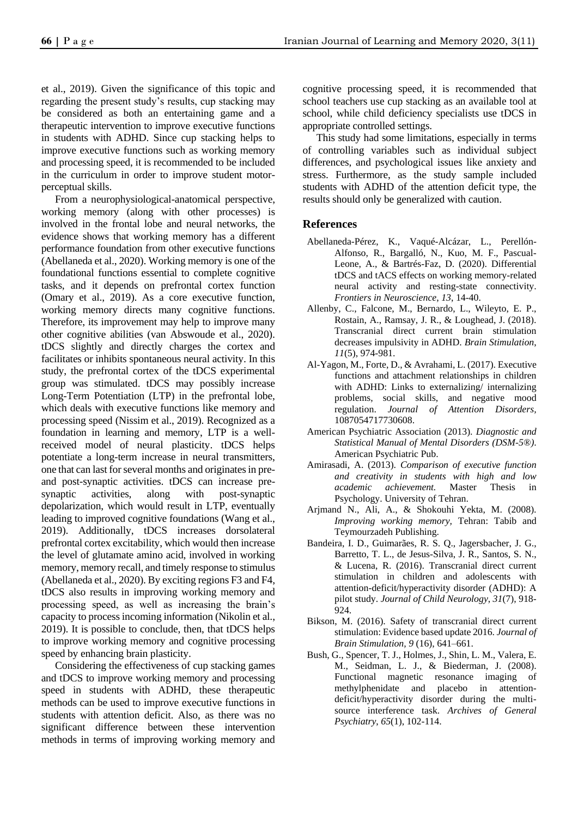et al., 2019). Given the significance of this topic and regarding the present study's results, cup stacking may be considered as both an entertaining game and a therapeutic intervention to improve executive functions in students with ADHD. Since cup stacking helps to improve executive functions such as working memory and processing speed, it is recommended to be included in the curriculum in order to improve student motorperceptual skills.

From a neurophysiological-anatomical perspective, working memory (along with other processes) is involved in the frontal lobe and neural networks, the evidence shows that working memory has a different performance foundation from other executive functions (Abellaneda et al., 2020). Working memory is one of the foundational functions essential to complete cognitive tasks, and it depends on prefrontal cortex function (Omary et al., 2019). As a core executive function, working memory directs many cognitive functions. Therefore, its improvement may help to improve many other cognitive abilities (van Abswoude et al., 2020). tDCS slightly and directly charges the cortex and facilitates or inhibits spontaneous neural activity. In this study, the prefrontal cortex of the tDCS experimental group was stimulated. tDCS may possibly increase Long-Term Potentiation (LTP) in the prefrontal lobe, which deals with executive functions like memory and processing speed (Nissim et al., 2019). Recognized as a foundation in learning and memory, LTP is a wellreceived model of neural plasticity. tDCS helps potentiate a long-term increase in neural transmitters, one that can last for several months and originates in preand post-synaptic activities. tDCS can increase presynaptic activities, along with post-synaptic depolarization, which would result in LTP, eventually leading to improved cognitive foundations (Wang et al., 2019). Additionally, tDCS increases dorsolateral prefrontal cortex excitability, which would then increase the level of glutamate amino acid, involved in working memory, memory recall, and timely response to stimulus (Abellaneda et al., 2020). By exciting regions F3 and F4, tDCS also results in improving working memory and processing speed, as well as increasing the brain's capacity to process incoming information (Nikolin et al., 2019). It is possible to conclude, then, that tDCS helps to improve working memory and cognitive processing speed by enhancing brain plasticity.

Considering the effectiveness of cup stacking games and tDCS to improve working memory and processing speed in students with ADHD, these therapeutic methods can be used to improve executive functions in students with attention deficit. Also, as there was no significant difference between these intervention methods in terms of improving working memory and cognitive processing speed, it is recommended that school teachers use cup stacking as an available tool at school, while child deficiency specialists use tDCS in appropriate controlled settings.

This study had some limitations, especially in terms of controlling variables such as individual subject differences, and psychological issues like anxiety and stress. Furthermore, as the study sample included students with ADHD of the attention deficit type, the results should only be generalized with caution.

# **References**

- Abellaneda-Pérez, K., Vaqué-Alcázar, L., Perellón-Alfonso, R., Bargalló, N., Kuo, M. F., Pascual-Leone, A., & Bartrés-Faz, D. (2020). Differential tDCS and tACS effects on working memory-related neural activity and resting-state connectivity. *Frontiers in Neuroscience*, *13*, 14-40.
- Allenby, C., Falcone, M., Bernardo, L., Wileyto, E. P., Rostain, A., Ramsay, J. R., & Loughead, J. (2018). Transcranial direct current brain stimulation decreases impulsivity in ADHD. *Brain Stimulation*, *11*(5), 974-981.
- Al-Yagon, M., Forte, D., & Avrahami, L. (2017). Executive functions and attachment relationships in children with ADHD: Links to externalizing/ internalizing problems, social skills, and negative mood regulation. *Journal of Attention Disorders,* 1087054717730608.
- American Psychiatric Association (2013). *Diagnostic and Statistical Manual of Mental Disorders (DSM-5®)*. American Psychiatric Pub.
- Amirasadi, A. (2013). *Comparison of executive function and creativity in students with high and low academic achievement.* Master Thesis in Psychology. University of Tehran.
- Arjmand N., Ali, A., & Shokouhi Yekta, M. (2008). *Improving working memory,* Tehran: Tabib and Teymourzadeh Publishing.
- Bandeira, I. D., Guimarães, R. S. Q., Jagersbacher, J. G., Barretto, T. L., de Jesus-Silva, J. R., Santos, S. N., & Lucena, R. (2016). Transcranial direct current stimulation in children and adolescents with attention-deficit/hyperactivity disorder (ADHD): A pilot study. *Journal of Child Neurology*, *31*(7), 918- 924.
- Bikson, M. (2016). Safety of transcranial direct current stimulation: Evidence based update 2016. *Journal of Brain Stimulation, 9* (16), 641–661.
- Bush, G., Spencer, T. J., Holmes, J., Shin, L. M., Valera, E. M., Seidman, L. J., & Biederman, J. (2008). Functional magnetic resonance imaging of methylphenidate and placebo in attentiondeficit/hyperactivity disorder during the multisource interference task. *Archives of General Psychiatry*, *65*(1), 102-114.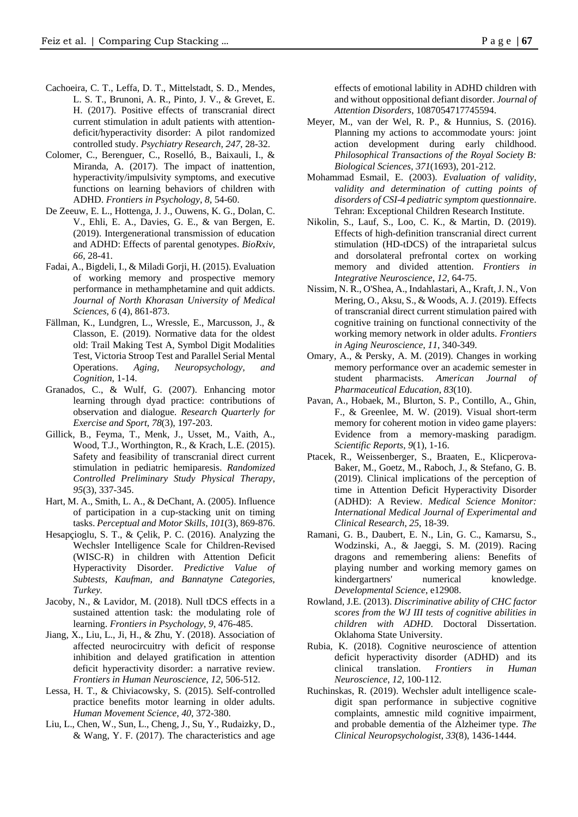- Cachoeira, C. T., Leffa, D. T., Mittelstadt, S. D., Mendes, L. S. T., Brunoni, A. R., Pinto, J. V., & Grevet, E. H. (2017). Positive effects of transcranial direct current stimulation in adult patients with attentiondeficit/hyperactivity disorder: A pilot randomized controlled study. *Psychiatry Research*, *247*, 28-32.
- Colomer, C., Berenguer, C., Roselló, B., Baixauli, I., & Miranda, A. (2017). The impact of inattention, hyperactivity/impulsivity symptoms, and executive functions on learning behaviors of children with ADHD. *Frontiers in Psychology*, *8*, 54-60.
- De Zeeuw, E. L., Hottenga, J. J., Ouwens, K. G., Dolan, C. V., Ehli, E. A., Davies, G. E., & van Bergen, E. (2019). Intergenerational transmission of education and ADHD: Effects of parental genotypes. *BioRxiv*, *66*, 28-41.
- Fadai, A., Bigdeli, I., & Miladi Gorji, H. (2015). Evaluation of working memory and prospective memory performance in methamphetamine and quit addicts. *Journal of North Khorasan University of Medical Sciences, 6* (4), 861-873.
- Fällman, K., Lundgren, L., Wressle, E., Marcusson, J., & Classon, E. (2019). Normative data for the oldest old: Trail Making Test A, Symbol Digit Modalities Test, Victoria Stroop Test and Parallel Serial Mental Operations. *Aging, Neuropsychology, and Cognition*, 1-14.
- Granados, C., & Wulf, G. (2007). Enhancing motor learning through dyad practice: contributions of observation and dialogue. *Research Quarterly for Exercise and Sport*, *78*(3), 197-203.
- Gillick, B., Feyma, T., Menk, J., Usset, M., Vaith, A., Wood, T.J., Worthington, R., & Krach, L.E. (2015). Safety and feasibility of transcranial direct current stimulation in pediatric hemiparesis. *Randomized Controlled Preliminary Study Physical Therapy*, *95*(3), 337-345.
- Hart, M. A., Smith, L. A., & DeChant, A. (2005). Influence of participation in a cup-stacking unit on timing tasks. *Perceptual and Motor Skills*, *101*(3), 869-876.
- Hesapçioglu, S. T., & Çelik, P. C. (2016). Analyzing the Wechsler Intelligence Scale for Children-Revised (WISC-R) in children with Attention Deficit Hyperactivity Disorder. *Predictive Value of Subtests, Kaufman, and Bannatyne Categories, Turkey.*
- Jacoby, N., & Lavidor, M. (2018). Null tDCS effects in a sustained attention task: the modulating role of learning. *Frontiers in Psychology*, *9*, 476-485.
- Jiang, X., Liu, L., Ji, H., & Zhu, Y. (2018). Association of affected neurocircuitry with deficit of response inhibition and delayed gratification in attention deficit hyperactivity disorder: a narrative review. *Frontiers in Human Neuroscience*, *12*, 506-512.
- Lessa, H. T., & Chiviacowsky, S. (2015). Self-controlled practice benefits motor learning in older adults. *Human Movement Science*, *40*, 372-380.
- Liu, L., Chen, W., Sun, L., Cheng, J., Su, Y., Rudaizky, D., & Wang, Y. F. (2017). The characteristics and age

effects of emotional lability in ADHD children with and without oppositional defiant disorder. *Journal of Attention Disorders*, 1087054717745594.

- Meyer, M., van der Wel, R. P., & Hunnius, S. (2016). Planning my actions to accommodate yours: joint action development during early childhood. *Philosophical Transactions of the Royal Society B: Biological Sciences*, *371*(1693), 201-212.
- Mohammad Esmail, E. (2003). *Evaluation of validity, validity and determination of cutting points of disorders of CSI-4 pediatric symptom questionnair*e. Tehran: Exceptional Children Research Institute.
- Nikolin, S., Lauf, S., Loo, C. K., & Martin, D. (2019). Effects of high-definition transcranial direct current stimulation (HD-tDCS) of the intraparietal sulcus and dorsolateral prefrontal cortex on working memory and divided attention. *Frontiers in Integrative Neuroscience*, *12*, 64-75.
- Nissim, N. R., O'Shea, A., Indahlastari, A., Kraft, J. N., Von Mering, O., Aksu, S., & Woods, A. J. (2019). Effects of transcranial direct current stimulation paired with cognitive training on functional connectivity of the working memory network in older adults. *Frontiers in Aging Neuroscience*, *11*, 340-349.
- Omary, A., & Persky, A. M. (2019). Changes in working memory performance over an academic semester in student pharmacists. *American Journal of Pharmaceutical Education*, *83*(10).
- Pavan, A., Hobaek, M., Blurton, S. P., Contillo, A., Ghin, F., & Greenlee, M. W. (2019). Visual short-term memory for coherent motion in video game players: Evidence from a memory-masking paradigm. *Scientific Reports*, *9*(1), 1-16.
- Ptacek, R., Weissenberger, S., Braaten, E., Klicperova-Baker, M., Goetz, M., Raboch, J., & Stefano, G. B. (2019). Clinical implications of the perception of time in Attention Deficit Hyperactivity Disorder (ADHD): A Review. *Medical Science Monitor: International Medical Journal of Experimental and Clinical Research*, *25*, 18-39.
- Ramani, G. B., Daubert, E. N., Lin, G. C., Kamarsu, S., Wodzinski, A., & Jaeggi, S. M. (2019). Racing dragons and remembering aliens: Benefits of playing number and working memory games on kindergartners' numerical knowledge. *Developmental Science*, e12908.
- Rowland, J.E. (2013). *Discriminative ability of CHC factor scores from the WJ III tests of cognitive abilities in children with ADHD*. Doctoral Dissertation. Oklahoma State University.
- Rubia, K. (2018). Cognitive neuroscience of attention deficit hyperactivity disorder (ADHD) and its clinical translation. *Frontiers in Human Neuroscience*, *12*, 100-112.
- Ruchinskas, R. (2019). Wechsler adult intelligence scaledigit span performance in subjective cognitive complaints, amnestic mild cognitive impairment, and probable dementia of the Alzheimer type. *The Clinical Neuropsychologist*, *33*(8), 1436-1444.